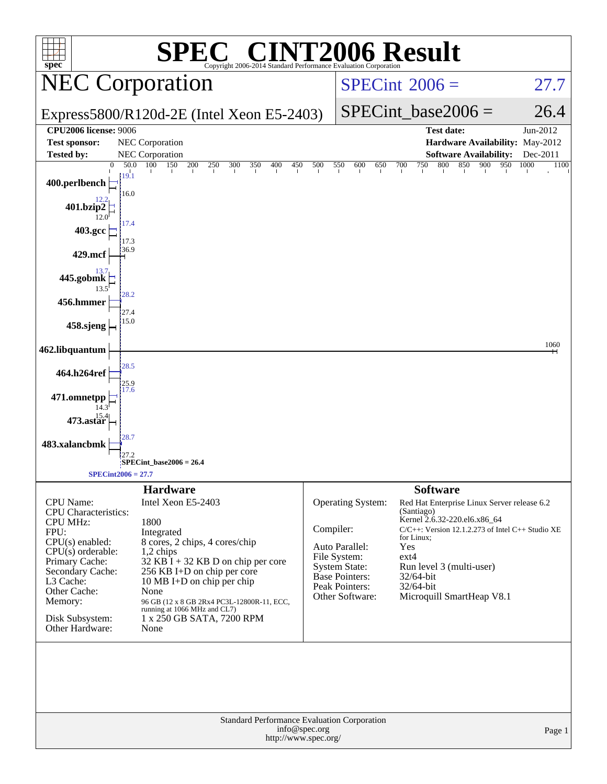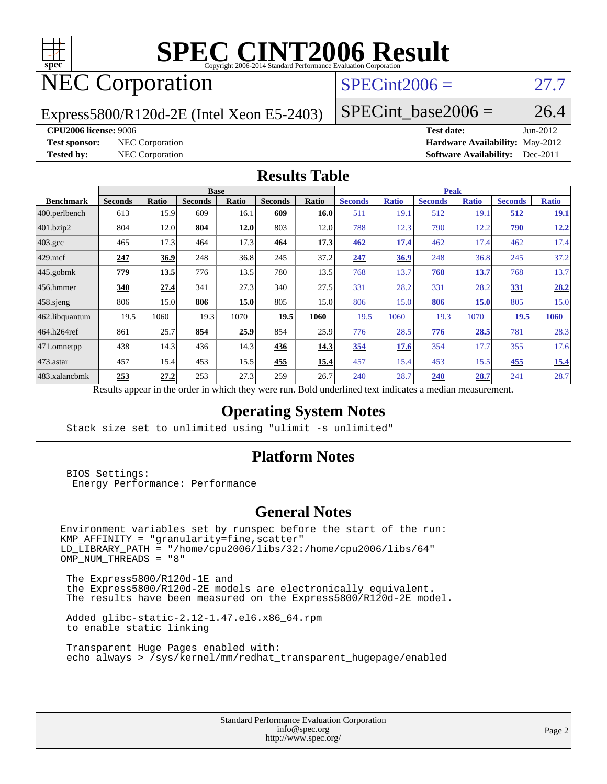

# **[SPEC CINT2006 Result](http://www.spec.org/auto/cpu2006/Docs/result-fields.html#SPECCINT2006Result)**

## NEC Corporation

## $SPECint2006 = 27.7$  $SPECint2006 = 27.7$

Express5800/R120d-2E (Intel Xeon E5-2403)

SPECint base2006 =  $26.4$ 

#### **[CPU2006 license:](http://www.spec.org/auto/cpu2006/Docs/result-fields.html#CPU2006license)** 9006 **[Test date:](http://www.spec.org/auto/cpu2006/Docs/result-fields.html#Testdate)** Jun-2012

**[Test sponsor:](http://www.spec.org/auto/cpu2006/Docs/result-fields.html#Testsponsor)** NEC Corporation **[Hardware Availability:](http://www.spec.org/auto/cpu2006/Docs/result-fields.html#HardwareAvailability)** May-2012 **[Tested by:](http://www.spec.org/auto/cpu2006/Docs/result-fields.html#Testedby)** NEC Corporation **[Software Availability:](http://www.spec.org/auto/cpu2006/Docs/result-fields.html#SoftwareAvailability)** Dec-2011

### **[Results Table](http://www.spec.org/auto/cpu2006/Docs/result-fields.html#ResultsTable)**

|                    | <b>Base</b>               |         |                |                 |                |             | <b>Peak</b>    |              |                |              |                |              |
|--------------------|---------------------------|---------|----------------|-----------------|----------------|-------------|----------------|--------------|----------------|--------------|----------------|--------------|
| <b>Benchmark</b>   | <b>Seconds</b>            | Ratio   | <b>Seconds</b> | Ratio           | <b>Seconds</b> | Ratio       | <b>Seconds</b> | <b>Ratio</b> | <b>Seconds</b> | <b>Ratio</b> | <b>Seconds</b> | <b>Ratio</b> |
| $ 400$ .perlbench  | 613                       | 15.9    | 609            | 16.1            | 609            | 16.0        | 511            | 19.1         | 512            | 19.1         | 512            | 19.1         |
| 401.bzip2          | 804                       | 12.0    | 804            | 12.0            | 803            | 12.0        | 788            | 12.3         | 790            | 12.2         | <b>790</b>     | 12.2         |
| $403.\mathrm{gcc}$ | 465                       | 17.3    | 464            | 17.3            | 464            | 17.3        | 462            | <u>17.4</u>  | 462            | 17.4         | 462            | 17.4         |
| $429$ mcf          | 247                       | 36.9    | 248            | 36.8            | 245            | 37.2        | 247            | 36.9         | 248            | 36.8         | 245            | 37.2         |
| $445$ .gobmk       | 779                       | 13.5    | 776            | 13.5            | 780            | 13.5        | 768            | 13.7         | 768            | 13.7         | 768            | 13.7         |
| 456.hmmer          | 340                       | 27.4    | 341            | 27.3            | 340            | 27.5        | 331            | 28.2         | 331            | 28.2         | 331            | 28.2         |
| $458$ .sjeng       | 806                       | 15.0    | 806            | 15.0            | 805            | 15.0        | 806            | 15.0         | 806            | <b>15.0</b>  | 805            | 15.0         |
| 462.libquantum     | 19.5                      | 1060    | 19.3           | 1070            | 19.5           | 1060        | 19.5           | 1060         | 19.3           | 1070         | 19.5           | 1060         |
| 464.h264ref        | 861                       | 25.7    | 854            | 25.9            | 854            | 25.9        | 776            | 28.5         | 776            | 28.5         | 781            | 28.3         |
| 471.omnetpp        | 438                       | 14.3    | 436            | 14.3            | 436            | 14.3        | 354            | 17.6         | 354            | 17.7         | 355            | 17.6         |
| $473$ . astar      | 457                       | 15.4    | 453            | 15.5            | 455            | <u>15.4</u> | 457            | 15.4         | 453            | 15.5         | 455            | 15.4         |
| 483.xalancbmk      | 253                       | 27.2    | 253            | 27.3            | 259            | 26.7        | 240            | 28.7         | 240            | 28.7         | 241            | 28.7         |
|                    | $\mathbf{D} = \mathbf{1}$ | tur 11. |                | 1.3.1.<br>$-41$ |                |             |                |              |                |              |                |              |

Results appear in the [order in which they were run.](http://www.spec.org/auto/cpu2006/Docs/result-fields.html#RunOrder) Bold underlined text [indicates a median measurement.](http://www.spec.org/auto/cpu2006/Docs/result-fields.html#Median)

## **[Operating System Notes](http://www.spec.org/auto/cpu2006/Docs/result-fields.html#OperatingSystemNotes)**

Stack size set to unlimited using "ulimit -s unlimited"

### **[Platform Notes](http://www.spec.org/auto/cpu2006/Docs/result-fields.html#PlatformNotes)**

 BIOS Settings: Energy Performance: Performance

### **[General Notes](http://www.spec.org/auto/cpu2006/Docs/result-fields.html#GeneralNotes)**

Environment variables set by runspec before the start of the run: KMP\_AFFINITY = "granularity=fine,scatter" LD\_LIBRARY\_PATH = "/home/cpu2006/libs/32:/home/cpu2006/libs/64"  $OMP_NUM_THREADS = "8"$ 

 The Express5800/R120d-1E and the Express5800/R120d-2E models are electronically equivalent. The results have been measured on the Express5800/R120d-2E model.

 Added glibc-static-2.12-1.47.el6.x86\_64.rpm to enable static linking

 Transparent Huge Pages enabled with: echo always > /sys/kernel/mm/redhat\_transparent\_hugepage/enabled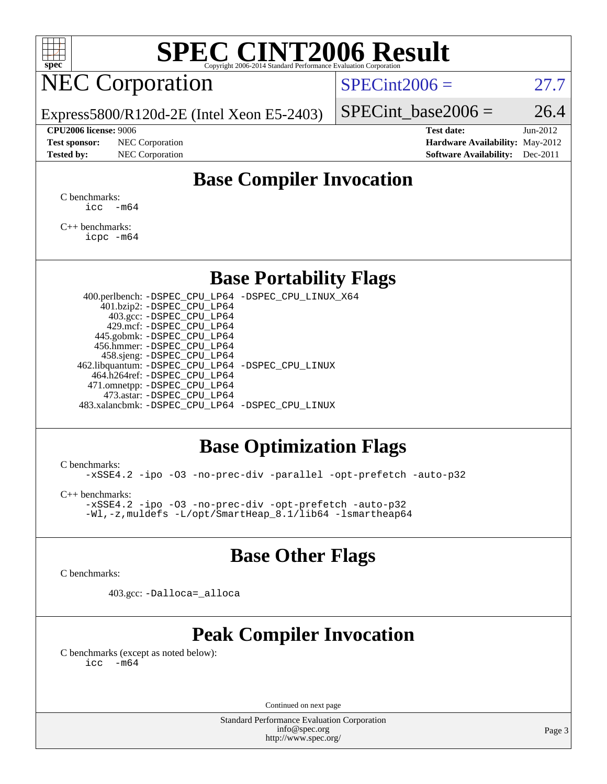

# **[SPEC CINT2006 Result](http://www.spec.org/auto/cpu2006/Docs/result-fields.html#SPECCINT2006Result)**

## NEC Corporation

 $SPECint2006 = 27.7$  $SPECint2006 = 27.7$ 

Express5800/R120d-2E (Intel Xeon E5-2403)

#### **[CPU2006 license:](http://www.spec.org/auto/cpu2006/Docs/result-fields.html#CPU2006license)** 9006 **[Test date:](http://www.spec.org/auto/cpu2006/Docs/result-fields.html#Testdate)** Jun-2012

**[Test sponsor:](http://www.spec.org/auto/cpu2006/Docs/result-fields.html#Testsponsor)** NEC Corporation **[Hardware Availability:](http://www.spec.org/auto/cpu2006/Docs/result-fields.html#HardwareAvailability)** May-2012

SPECint base2006 =  $26.4$ 

**[Tested by:](http://www.spec.org/auto/cpu2006/Docs/result-fields.html#Testedby)** NEC Corporation **[Software Availability:](http://www.spec.org/auto/cpu2006/Docs/result-fields.html#SoftwareAvailability)** Dec-2011

## **[Base Compiler Invocation](http://www.spec.org/auto/cpu2006/Docs/result-fields.html#BaseCompilerInvocation)**

[C benchmarks](http://www.spec.org/auto/cpu2006/Docs/result-fields.html#Cbenchmarks):  $\text{icc}$   $-\text{m64}$ 

[C++ benchmarks:](http://www.spec.org/auto/cpu2006/Docs/result-fields.html#CXXbenchmarks) [icpc -m64](http://www.spec.org/cpu2006/results/res2012q3/cpu2006-20120617-22914.flags.html#user_CXXbase_intel_icpc_64bit_fc66a5337ce925472a5c54ad6a0de310)

## **[Base Portability Flags](http://www.spec.org/auto/cpu2006/Docs/result-fields.html#BasePortabilityFlags)**

 400.perlbench: [-DSPEC\\_CPU\\_LP64](http://www.spec.org/cpu2006/results/res2012q3/cpu2006-20120617-22914.flags.html#b400.perlbench_basePORTABILITY_DSPEC_CPU_LP64) [-DSPEC\\_CPU\\_LINUX\\_X64](http://www.spec.org/cpu2006/results/res2012q3/cpu2006-20120617-22914.flags.html#b400.perlbench_baseCPORTABILITY_DSPEC_CPU_LINUX_X64) 401.bzip2: [-DSPEC\\_CPU\\_LP64](http://www.spec.org/cpu2006/results/res2012q3/cpu2006-20120617-22914.flags.html#suite_basePORTABILITY401_bzip2_DSPEC_CPU_LP64) 403.gcc: [-DSPEC\\_CPU\\_LP64](http://www.spec.org/cpu2006/results/res2012q3/cpu2006-20120617-22914.flags.html#suite_basePORTABILITY403_gcc_DSPEC_CPU_LP64) 429.mcf: [-DSPEC\\_CPU\\_LP64](http://www.spec.org/cpu2006/results/res2012q3/cpu2006-20120617-22914.flags.html#suite_basePORTABILITY429_mcf_DSPEC_CPU_LP64) 445.gobmk: [-DSPEC\\_CPU\\_LP64](http://www.spec.org/cpu2006/results/res2012q3/cpu2006-20120617-22914.flags.html#suite_basePORTABILITY445_gobmk_DSPEC_CPU_LP64) 456.hmmer: [-DSPEC\\_CPU\\_LP64](http://www.spec.org/cpu2006/results/res2012q3/cpu2006-20120617-22914.flags.html#suite_basePORTABILITY456_hmmer_DSPEC_CPU_LP64) 458.sjeng: [-DSPEC\\_CPU\\_LP64](http://www.spec.org/cpu2006/results/res2012q3/cpu2006-20120617-22914.flags.html#suite_basePORTABILITY458_sjeng_DSPEC_CPU_LP64) 462.libquantum: [-DSPEC\\_CPU\\_LP64](http://www.spec.org/cpu2006/results/res2012q3/cpu2006-20120617-22914.flags.html#suite_basePORTABILITY462_libquantum_DSPEC_CPU_LP64) [-DSPEC\\_CPU\\_LINUX](http://www.spec.org/cpu2006/results/res2012q3/cpu2006-20120617-22914.flags.html#b462.libquantum_baseCPORTABILITY_DSPEC_CPU_LINUX) 464.h264ref: [-DSPEC\\_CPU\\_LP64](http://www.spec.org/cpu2006/results/res2012q3/cpu2006-20120617-22914.flags.html#suite_basePORTABILITY464_h264ref_DSPEC_CPU_LP64) 471.omnetpp: [-DSPEC\\_CPU\\_LP64](http://www.spec.org/cpu2006/results/res2012q3/cpu2006-20120617-22914.flags.html#suite_basePORTABILITY471_omnetpp_DSPEC_CPU_LP64) 473.astar: [-DSPEC\\_CPU\\_LP64](http://www.spec.org/cpu2006/results/res2012q3/cpu2006-20120617-22914.flags.html#suite_basePORTABILITY473_astar_DSPEC_CPU_LP64) 483.xalancbmk: [-DSPEC\\_CPU\\_LP64](http://www.spec.org/cpu2006/results/res2012q3/cpu2006-20120617-22914.flags.html#suite_basePORTABILITY483_xalancbmk_DSPEC_CPU_LP64) [-DSPEC\\_CPU\\_LINUX](http://www.spec.org/cpu2006/results/res2012q3/cpu2006-20120617-22914.flags.html#b483.xalancbmk_baseCXXPORTABILITY_DSPEC_CPU_LINUX)

## **[Base Optimization Flags](http://www.spec.org/auto/cpu2006/Docs/result-fields.html#BaseOptimizationFlags)**

[C benchmarks](http://www.spec.org/auto/cpu2006/Docs/result-fields.html#Cbenchmarks):

[-xSSE4.2](http://www.spec.org/cpu2006/results/res2012q3/cpu2006-20120617-22914.flags.html#user_CCbase_f-xSSE42_f91528193cf0b216347adb8b939d4107) [-ipo](http://www.spec.org/cpu2006/results/res2012q3/cpu2006-20120617-22914.flags.html#user_CCbase_f-ipo) [-O3](http://www.spec.org/cpu2006/results/res2012q3/cpu2006-20120617-22914.flags.html#user_CCbase_f-O3) [-no-prec-div](http://www.spec.org/cpu2006/results/res2012q3/cpu2006-20120617-22914.flags.html#user_CCbase_f-no-prec-div) [-parallel](http://www.spec.org/cpu2006/results/res2012q3/cpu2006-20120617-22914.flags.html#user_CCbase_f-parallel) [-opt-prefetch](http://www.spec.org/cpu2006/results/res2012q3/cpu2006-20120617-22914.flags.html#user_CCbase_f-opt-prefetch) [-auto-p32](http://www.spec.org/cpu2006/results/res2012q3/cpu2006-20120617-22914.flags.html#user_CCbase_f-auto-p32)

[C++ benchmarks:](http://www.spec.org/auto/cpu2006/Docs/result-fields.html#CXXbenchmarks) [-xSSE4.2](http://www.spec.org/cpu2006/results/res2012q3/cpu2006-20120617-22914.flags.html#user_CXXbase_f-xSSE42_f91528193cf0b216347adb8b939d4107) [-ipo](http://www.spec.org/cpu2006/results/res2012q3/cpu2006-20120617-22914.flags.html#user_CXXbase_f-ipo) [-O3](http://www.spec.org/cpu2006/results/res2012q3/cpu2006-20120617-22914.flags.html#user_CXXbase_f-O3) [-no-prec-div](http://www.spec.org/cpu2006/results/res2012q3/cpu2006-20120617-22914.flags.html#user_CXXbase_f-no-prec-div) [-opt-prefetch](http://www.spec.org/cpu2006/results/res2012q3/cpu2006-20120617-22914.flags.html#user_CXXbase_f-opt-prefetch) [-auto-p32](http://www.spec.org/cpu2006/results/res2012q3/cpu2006-20120617-22914.flags.html#user_CXXbase_f-auto-p32)

[-Wl,-z,muldefs](http://www.spec.org/cpu2006/results/res2012q3/cpu2006-20120617-22914.flags.html#user_CXXbase_link_force_multiple1_74079c344b956b9658436fd1b6dd3a8a) [-L/opt/SmartHeap\\_8.1/lib64 -lsmartheap64](http://www.spec.org/cpu2006/results/res2012q3/cpu2006-20120617-22914.flags.html#user_CXXbase_SmartHeap64_7ff9c3d8ca51c2767359d6aa2f519d77)

## **[Base Other Flags](http://www.spec.org/auto/cpu2006/Docs/result-fields.html#BaseOtherFlags)**

[C benchmarks](http://www.spec.org/auto/cpu2006/Docs/result-fields.html#Cbenchmarks):

403.gcc: [-Dalloca=\\_alloca](http://www.spec.org/cpu2006/results/res2012q3/cpu2006-20120617-22914.flags.html#b403.gcc_baseEXTRA_CFLAGS_Dalloca_be3056838c12de2578596ca5467af7f3)

## **[Peak Compiler Invocation](http://www.spec.org/auto/cpu2006/Docs/result-fields.html#PeakCompilerInvocation)**

[C benchmarks \(except as noted below\)](http://www.spec.org/auto/cpu2006/Docs/result-fields.html#Cbenchmarksexceptasnotedbelow):  $\text{icc}$  -m64

Continued on next page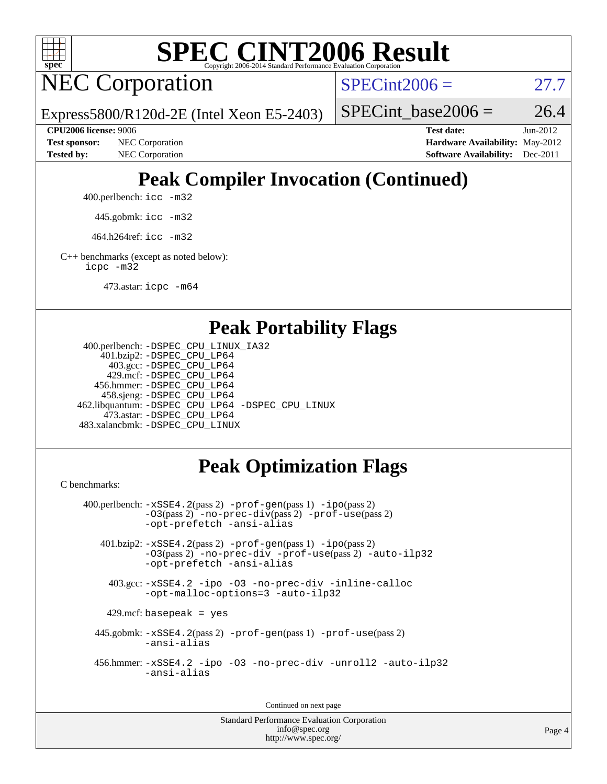

# **[SPEC CINT2006 Result](http://www.spec.org/auto/cpu2006/Docs/result-fields.html#SPECCINT2006Result)**

NEC Corporation

 $SPECint2006 = 27.7$  $SPECint2006 = 27.7$ 

Express5800/R120d-2E (Intel Xeon E5-2403)

SPECint base2006 =  $26.4$ 

**[Tested by:](http://www.spec.org/auto/cpu2006/Docs/result-fields.html#Testedby)** NEC Corporation **[Software Availability:](http://www.spec.org/auto/cpu2006/Docs/result-fields.html#SoftwareAvailability)** Dec-2011

**[CPU2006 license:](http://www.spec.org/auto/cpu2006/Docs/result-fields.html#CPU2006license)** 9006 **[Test date:](http://www.spec.org/auto/cpu2006/Docs/result-fields.html#Testdate)** Jun-2012 **[Test sponsor:](http://www.spec.org/auto/cpu2006/Docs/result-fields.html#Testsponsor)** NEC Corporation **[Hardware Availability:](http://www.spec.org/auto/cpu2006/Docs/result-fields.html#HardwareAvailability)** May-2012

## **[Peak Compiler Invocation \(Continued\)](http://www.spec.org/auto/cpu2006/Docs/result-fields.html#PeakCompilerInvocation)**

400.perlbench: [icc -m32](http://www.spec.org/cpu2006/results/res2012q3/cpu2006-20120617-22914.flags.html#user_peakCCLD400_perlbench_intel_icc_a6a621f8d50482236b970c6ac5f55f93)

445.gobmk: [icc -m32](http://www.spec.org/cpu2006/results/res2012q3/cpu2006-20120617-22914.flags.html#user_peakCCLD445_gobmk_intel_icc_a6a621f8d50482236b970c6ac5f55f93)

464.h264ref: [icc -m32](http://www.spec.org/cpu2006/results/res2012q3/cpu2006-20120617-22914.flags.html#user_peakCCLD464_h264ref_intel_icc_a6a621f8d50482236b970c6ac5f55f93)

[C++ benchmarks \(except as noted below\):](http://www.spec.org/auto/cpu2006/Docs/result-fields.html#CXXbenchmarksexceptasnotedbelow) [icpc -m32](http://www.spec.org/cpu2006/results/res2012q3/cpu2006-20120617-22914.flags.html#user_CXXpeak_intel_icpc_4e5a5ef1a53fd332b3c49e69c3330699)

473.astar: [icpc -m64](http://www.spec.org/cpu2006/results/res2012q3/cpu2006-20120617-22914.flags.html#user_peakCXXLD473_astar_intel_icpc_64bit_fc66a5337ce925472a5c54ad6a0de310)

## **[Peak Portability Flags](http://www.spec.org/auto/cpu2006/Docs/result-fields.html#PeakPortabilityFlags)**

```
 400.perlbench: -DSPEC_CPU_LINUX_IA32
    401.bzip2: -DSPEC_CPU_LP64
      403.gcc: -DSPEC_CPU_LP64
     429.mcf: -DSPEC_CPU_LP64
   456.hmmer: -DSPEC_CPU_LP64
    458.sjeng: -DSPEC_CPU_LP64
462.libquantum: -DSPEC_CPU_LP64 -DSPEC_CPU_LINUX
     473.astar: -DSPEC_CPU_LP64
483.xalancbmk: -DSPEC_CPU_LINUX
```
## **[Peak Optimization Flags](http://www.spec.org/auto/cpu2006/Docs/result-fields.html#PeakOptimizationFlags)**

[C benchmarks](http://www.spec.org/auto/cpu2006/Docs/result-fields.html#Cbenchmarks):

```
 400.perlbench: -xSSE4.2(pass 2) -prof-gen(pass 1) -ipo(pass 2)
           -O3(pass 2) -no-prec-div(pass 2) -prof-use(pass 2)
          -opt-prefetch -ansi-alias
   401.bzip2: -xSSE4.2(pass 2) -prof-gen(pass 1) -ipo(pass 2)
           -O3(pass 2) -no-prec-div -prof-use(pass 2) -auto-ilp32
           -opt-prefetch -ansi-alias
    403.gcc: -xSSE4.2 -ipo -O3 -no-prec-div -inline-calloc
           -opt-malloc-options=3 -auto-ilp32
   429.mcf: basepeak = yes
  445.gobmk: -xSSE4.2(pass 2) -prof-gen(pass 1) -prof-use(pass 2)
           -ansi-alias
  456.hmmer: -xSSE4.2 -ipo -O3 -no-prec-div -unroll2 -auto-ilp32
           -ansi-alias
```
Continued on next page